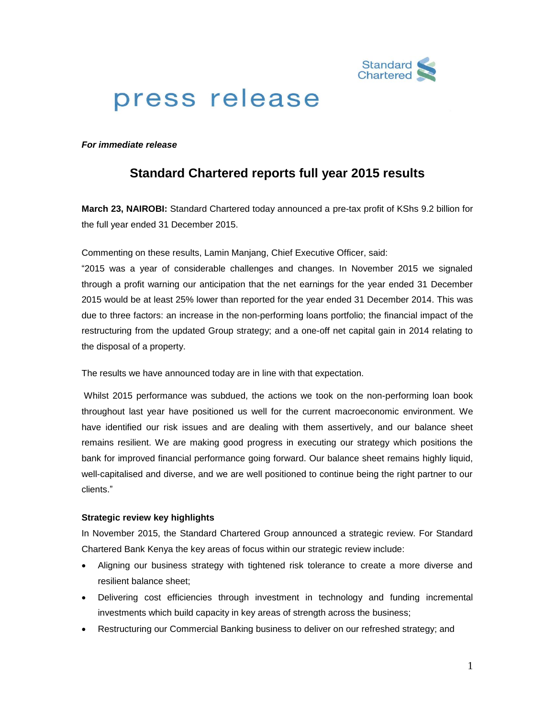

# press release

*For immediate release*

# **Standard Chartered reports full year 2015 results**

**March 23, NAIROBI:** Standard Chartered today announced a pre-tax profit of KShs 9.2 billion for the full year ended 31 December 2015.

Commenting on these results, Lamin Manjang, Chief Executive Officer, said:

"2015 was a year of considerable challenges and changes. In November 2015 we signaled through a profit warning our anticipation that the net earnings for the year ended 31 December 2015 would be at least 25% lower than reported for the year ended 31 December 2014. This was due to three factors: an increase in the non-performing loans portfolio; the financial impact of the restructuring from the updated Group strategy; and a one-off net capital gain in 2014 relating to the disposal of a property.

The results we have announced today are in line with that expectation.

Whilst 2015 performance was subdued, the actions we took on the non-performing loan book throughout last year have positioned us well for the current macroeconomic environment. We have identified our risk issues and are dealing with them assertively, and our balance sheet remains resilient. We are making good progress in executing our strategy which positions the bank for improved financial performance going forward. Our balance sheet remains highly liquid, well-capitalised and diverse, and we are well positioned to continue being the right partner to our clients."

## **Strategic review key highlights**

In November 2015, the Standard Chartered Group announced a strategic review. For Standard Chartered Bank Kenya the key areas of focus within our strategic review include:

- Aligning our business strategy with tightened risk tolerance to create a more diverse and resilient balance sheet;
- Delivering cost efficiencies through investment in technology and funding incremental investments which build capacity in key areas of strength across the business;
- Restructuring our Commercial Banking business to deliver on our refreshed strategy; and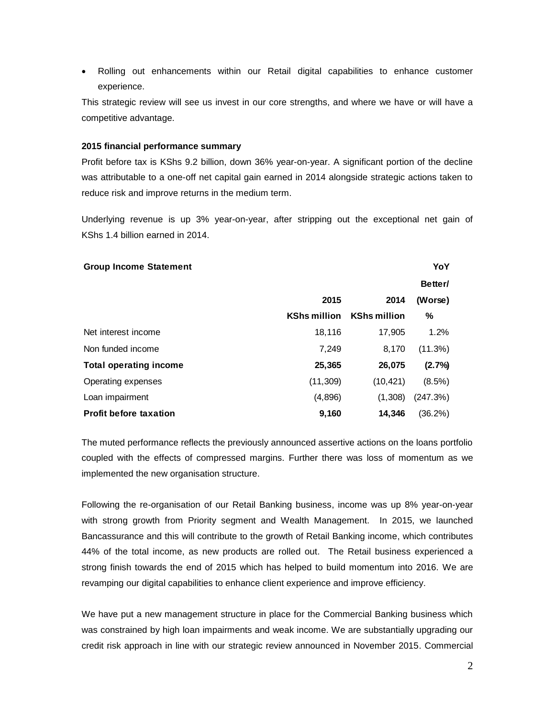Rolling out enhancements within our Retail digital capabilities to enhance customer experience.

This strategic review will see us invest in our core strengths, and where we have or will have a competitive advantage.

#### **2015 financial performance summary**

Profit before tax is KShs 9.2 billion, down 36% year-on-year. A significant portion of the decline was attributable to a one-off net capital gain earned in 2014 alongside strategic actions taken to reduce risk and improve returns in the medium term.

Underlying revenue is up 3% year-on-year, after stripping out the exceptional net gain of KShs 1.4 billion earned in 2014.

#### **Group Income Statement YoY**

|                               |                     |                     | Better/   |
|-------------------------------|---------------------|---------------------|-----------|
|                               | 2015                | 2014                | (Worse)   |
|                               | <b>KShs million</b> | <b>KShs million</b> | %         |
| Net interest income           | 18,116              | 17,905              | 1.2%      |
| Non funded income             | 7,249               | 8,170               | (11.3%)   |
| <b>Total operating income</b> | 25,365              | 26,075              | (2.7%)    |
| Operating expenses            | (11, 309)           | (10, 421)           | $(8.5\%)$ |
| Loan impairment               | (4,896)             | (1,308)             | (247.3%)  |
| <b>Profit before taxation</b> | 9,160               | 14,346              | (36.2%)   |

The muted performance reflects the previously announced assertive actions on the loans portfolio coupled with the effects of compressed margins. Further there was loss of momentum as we implemented the new organisation structure.

Following the re-organisation of our Retail Banking business, income was up 8% year-on-year with strong growth from Priority segment and Wealth Management. In 2015, we launched Bancassurance and this will contribute to the growth of Retail Banking income, which contributes 44% of the total income, as new products are rolled out. The Retail business experienced a strong finish towards the end of 2015 which has helped to build momentum into 2016. We are revamping our digital capabilities to enhance client experience and improve efficiency.

We have put a new management structure in place for the Commercial Banking business which was constrained by high loan impairments and weak income. We are substantially upgrading our credit risk approach in line with our strategic review announced in November 2015. Commercial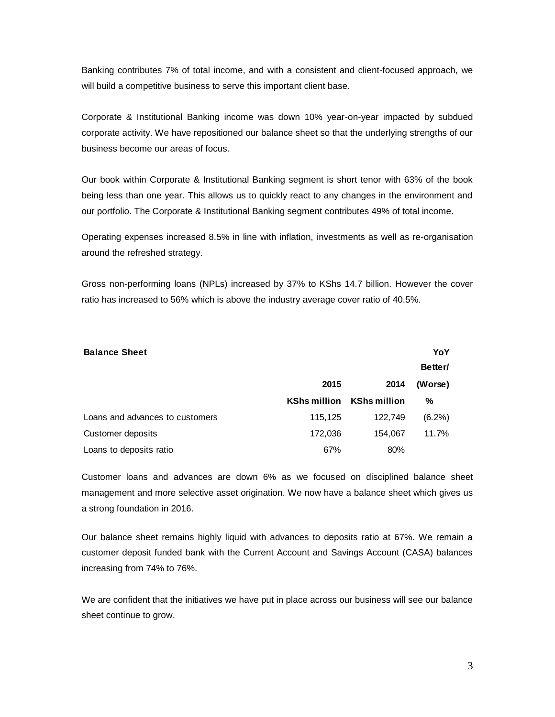Banking contributes 7% of total income, and with a consistent and client-focused approach, we will build a competitive business to serve this important client base.

Corporate & Institutional Banking income was down 10% year-on-year impacted by subdued corporate activity. We have repositioned our balance sheet so that the underlying strengths of our business become our areas of focus.

Our book within Corporate & Institutional Banking segment is short tenor with 63% of the book being less than one year. This allows us to quickly react to any changes in the environment and our portfolio. The Corporate & Institutional Banking segment contributes 49% of total income.

Operating expenses increased 8.5% in line with inflation, investments as well as re-organisation around the refreshed strategy.

Gross non-performing loans (NPLs) increased by 37% to KShs 14.7 billion. However the cover ratio has increased to 56% which is above the industry average cover ratio of 40.5%.

| <b>Balance Sheet</b>            |                     |                     | YoY       |
|---------------------------------|---------------------|---------------------|-----------|
|                                 |                     |                     | Better/   |
|                                 | 2015                | 2014                | (Worse)   |
|                                 | <b>KShs million</b> | <b>KShs million</b> | %         |
| Loans and advances to customers | 115,125             | 122,749             | $(6.2\%)$ |
| Customer deposits               | 172,036             | 154,067             | 11.7%     |
| Loans to deposits ratio         | 67%                 | 80%                 |           |

Customer loans and advances are down 6% as we focused on disciplined balance sheet management and more selective asset origination. We now have a balance sheet which gives us a strong foundation in 2016.

Our balance sheet remains highly liquid with advances to deposits ratio at 67%. We remain a customer deposit funded bank with the Current Account and Savings Account (CASA) balances increasing from 74% to 76%.

We are confident that the initiatives we have put in place across our business will see our balance sheet continue to grow.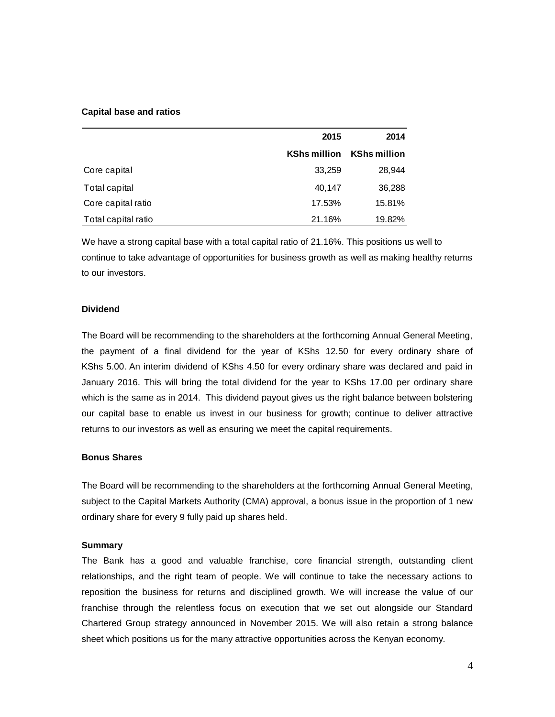#### **Capital base and ratios**

|                     | 2015                | 2014                |
|---------------------|---------------------|---------------------|
|                     | <b>KShs million</b> | <b>KShs million</b> |
| Core capital        | 33,259              | 28,944              |
| Total capital       | 40.147              | 36,288              |
| Core capital ratio  | 17.53%              | 15.81%              |
| Total capital ratio | 21.16%              | 19.82%              |

We have a strong capital base with a total capital ratio of 21.16%. This positions us well to continue to take advantage of opportunities for business growth as well as making healthy returns to our investors.

## **Dividend**

The Board will be recommending to the shareholders at the forthcoming Annual General Meeting, the payment of a final dividend for the year of KShs 12.50 for every ordinary share of KShs 5.00. An interim dividend of KShs 4.50 for every ordinary share was declared and paid in January 2016. This will bring the total dividend for the year to KShs 17.00 per ordinary share which is the same as in 2014. This dividend payout gives us the right balance between bolstering our capital base to enable us invest in our business for growth; continue to deliver attractive returns to our investors as well as ensuring we meet the capital requirements.

#### **Bonus Shares**

The Board will be recommending to the shareholders at the forthcoming Annual General Meeting, subject to the Capital Markets Authority (CMA) approval, a bonus issue in the proportion of 1 new ordinary share for every 9 fully paid up shares held.

#### **Summary**

The Bank has a good and valuable franchise, core financial strength, outstanding client relationships, and the right team of people. We will continue to take the necessary actions to reposition the business for returns and disciplined growth. We will increase the value of our franchise through the relentless focus on execution that we set out alongside our Standard Chartered Group strategy announced in November 2015. We will also retain a strong balance sheet which positions us for the many attractive opportunities across the Kenyan economy.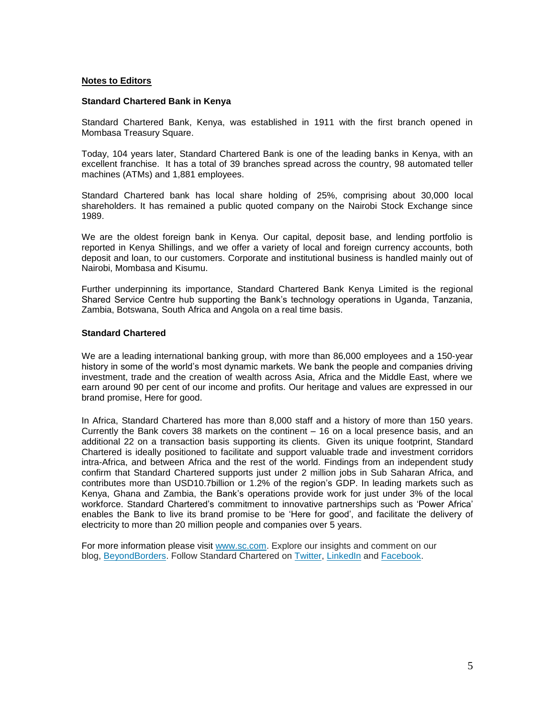#### **Notes to Editors**

#### **Standard Chartered Bank in Kenya**

Standard Chartered Bank, Kenya, was established in 1911 with the first branch opened in Mombasa Treasury Square.

Today, 104 years later, Standard Chartered Bank is one of the leading banks in Kenya, with an excellent franchise. It has a total of 39 branches spread across the country, 98 automated teller machines (ATMs) and 1,881 employees.

Standard Chartered bank has local share holding of 25%, comprising about 30,000 local shareholders. It has remained a public quoted company on the Nairobi Stock Exchange since 1989.

We are the oldest foreign bank in Kenya. Our capital, deposit base, and lending portfolio is reported in Kenya Shillings, and we offer a variety of local and foreign currency accounts, both deposit and loan, to our customers. Corporate and institutional business is handled mainly out of Nairobi, Mombasa and Kisumu.

Further underpinning its importance, Standard Chartered Bank Kenya Limited is the regional Shared Service Centre hub supporting the Bank's technology operations in Uganda, Tanzania, Zambia, Botswana, South Africa and Angola on a real time basis.

#### **Standard Chartered**

We are a leading international banking group, with more than 86,000 employees and a 150-year history in some of the world's most dynamic markets. We bank the people and companies driving investment, trade and the creation of wealth across Asia, Africa and the Middle East, where we earn around 90 per cent of our income and profits. Our heritage and values are expressed in our brand promise, Here for good.

In Africa, Standard Chartered has more than 8,000 staff and a history of more than 150 years. Currently the Bank covers 38 markets on the continent – 16 on a local presence basis, and an additional 22 on a transaction basis supporting its clients. Given its unique footprint, Standard Chartered is ideally positioned to facilitate and support valuable trade and investment corridors intra-Africa, and between Africa and the rest of the world. Findings from an [independent](https://www.sc.com/en/news-and-media/news/africa/2014-02-18-independent-study-measures-our-impact-in-africa.html) study confirm that Standard Chartered supports just under 2 million jobs in Sub Saharan Africa, and contributes more than USD10.7billion or 1.2% of the region's GDP. In leading markets such as Kenya, Ghana and Zambia, the Bank's operations provide work for just under 3% of the local workforce. Standard Chartered's commitment to innovative partnerships such as ['Power](https://www.sc.com/en/news-and-media/news/africa/2014-05-05-Power-Africa-Azura-is-latest-contribution.html) Africa' enables the Bank to live its brand promise to be 'Here for good', and facilitate the delivery of electricity to more than 20 million people and companies over 5 years.

For more information please visit [www.sc.com.](https://thebridge.zone1.scb.net/external-link.jspa?url=http://www.sc.com/) Explore our insights and comment on our blog, [BeyondBorders.](https://thebridge.zone1.scb.net/external-link.jspa?url=https://www.sc.com/beyondborders/) Follow Standard Chartered on [Twitter,](https://thebridge.zone1.scb.net/external-link.jspa?url=https://twitter.com/stanchart) [LinkedIn](https://thebridge.zone1.scb.net/external-link.jspa?url=http://www.linkedin.com/company/standard-chartered-bank) and [Facebook.](https://thebridge.zone1.scb.net/external-link.jspa?url=http://www.facebook.com/standardchartered)